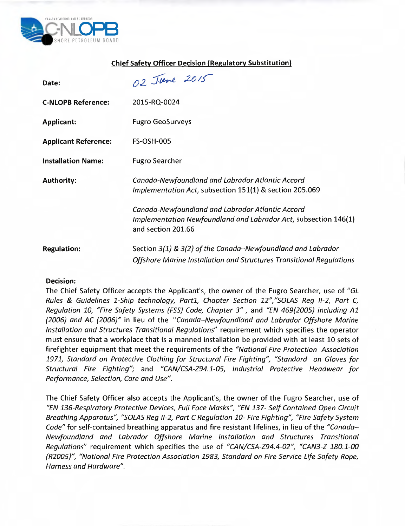

## **Chief Safety Officer Decision (Regulatory Substitution)**

| Date:                       | 02 June 2015                                                                                                                              |
|-----------------------------|-------------------------------------------------------------------------------------------------------------------------------------------|
| <b>C-NLOPB Reference:</b>   | 2015-RQ-0024                                                                                                                              |
| <b>Applicant:</b>           | <b>Fugro GeoSurveys</b>                                                                                                                   |
| <b>Applicant Reference:</b> | <b>FS-OSH-005</b>                                                                                                                         |
| <b>Installation Name:</b>   | <b>Fugro Searcher</b>                                                                                                                     |
| <b>Authority:</b>           | Canada-Newfoundland and Labrador Atlantic Accord<br>Implementation Act, subsection 151(1) & section 205.069                               |
|                             | Canada-Newfoundland and Labrador Atlantic Accord<br>Implementation Newfoundland and Labrador Act, subsection 146(1)<br>and section 201.66 |
| <b>Regulation:</b>          | Section 3(1) & 3(2) of the Canada-Newfoundland and Labrador<br>Offshore Marine Installation and Structures Transitional Regulations       |

## **Decision:**

The Chief Safety Officer accepts the Applicant's, the owner of the Fugro Searcher, use of "GL Rules & Guidelines 1-Ship technology, Partl, Chapter Section 12","SOLAS Reg 11-2, Part C, Regulation 10, "Fire Safety Systems (FSS) Code, Chapter 3" , and "EN 469(2005) including Al (2006) and AC (2006)" in lieu of the "Canada—Newfoundland and Labrador Offshore Marine Installation and Structures Transitional Regulations" requirement which specifies the operator must ensure that a workplace that is a manned installation be provided with at least 10 sets of firefighter equipment that meet the requirements of the "National Fire Protection Association 1971, Standard on Protective Clothing for Structural Fire Fighting", "Standard on Gloves for Structural Fire Fighting"; and "CAN/CSA-Z94.1-05, Industrial Protective Headwear for Performance, Selection, Care and Use".

The Chief Safety Officer also accepts the Applicant's, the owner of the Fugro Searcher, use of "EN 136-Respiratory Protective Devices, Full Face Masks", "EN 137- Self Contained Open Circuit Breathing Apparatus", "SOLAS Reg 11-2, Part C Regulation 10- Fire Fighting", "Fire Safety System Code" for self-contained breathing apparatus and fire resistant lifelines, in lieu of the "Canada-Newfoundland and Labrador Offshore Marine Installation and Structures Transitional Regulations" requirement which specifies the use of "CAN/CSA-Z94.4-02", "CAN3-Z 180.1-00 (R2005)", "National Fire Protection Association 1983, Standard on Fire Service Life Safety Rope, Harness and Hardware".